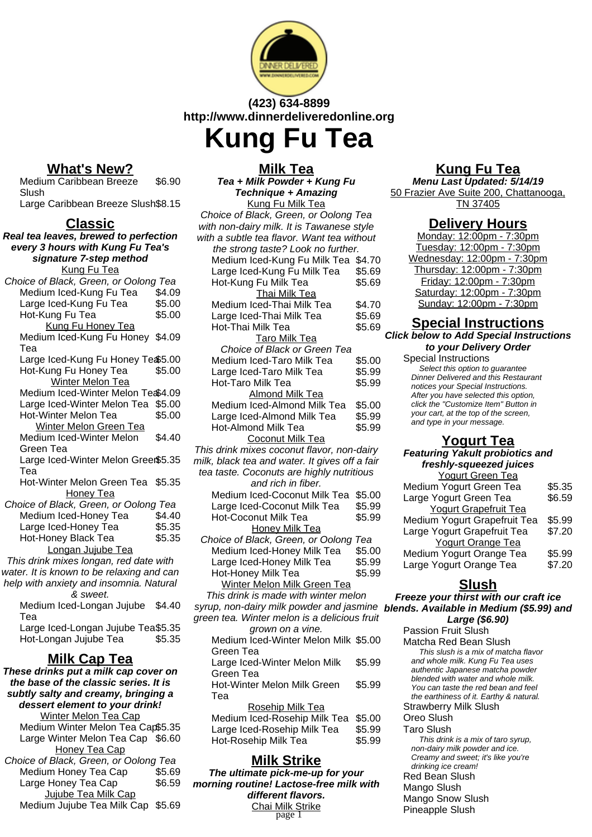

### **(423) 634-8899 http://www.dinnerdeliveredonline.org Kung Fu Tea**

#### **What's New?**

Medium Caribbean Breeze Slush \$6.90 Large Caribbean Breeze Slush\$8.15

**Classic**

**Real tea leaves, brewed to perfection every 3 hours with Kung Fu Tea's signature 7-step method** Kung Fu Tea Choice of Black, Green, or Oolong Tea Medium Iced-Kung Fu Tea \$4.09 Large Iced-Kung Fu Tea \$5.00 Hot-Kung Fu Tea \$5.00 Kung Fu Honey Tea Medium Iced-Kung Fu Honey \$4.09 Tea Large Iced-Kung Fu Honey Te \$5.00 Hot-Kung Fu Honey Tea \$5.00 Winter Melon Tea Medium Iced-Winter Melon Te \$4.09 Large Iced-Winter Melon Tea \$5.00 Hot-Winter Melon Tea \$5.00 Winter Melon Green Tea Medium Iced-Winter Melon Green Tea \$4.40 Large Iced-Winter Melon Green \$5.35 Tea Hot-Winter Melon Green Tea \$5.35 Honey Tea Choice of Black, Green, or Oolong Tea Medium Iced-Honey Tea \$4.40 Large Iced-Honey Tea \$5.35 Hot-Honey Black Tea \$5.35 Longan Jujube Tea This drink mixes longan, red date with water. It is known to be relaxing and can help with anxiety and insomnia. Natural & sweet. Medium Iced-Longan Jujube \$4.40 Tea Large Iced-Longan Jujube Tea\$5.35 Hot-Longan Jujube Tea \$5.35 **Milk Cap Tea These drinks put a milk cap cover on the base of the classic series. It is**

**subtly salty and creamy, bringing a dessert element to your drink!** Winter Melon Tea Cap Medium Winter Melon Tea Cap\$5.35 Large Winter Melon Tea Cap \$6.60 Honey Tea Cap Choice of Black, Green, or Oolong Tea Medium Honey Tea Cap \$5.69 Large Honey Tea Cap \$6.59

Jujube Tea Milk Cap Medium Jujube Tea Milk Cap \$5.69

| Tea + Milk Powder + Kung Fu                                     |        |
|-----------------------------------------------------------------|--------|
| <b>Technique + Amazing</b>                                      |        |
| Kung Fu Milk Tea                                                |        |
| Choice of Black, Green, or Oolong Tea                           |        |
| with non-dairy milk. It is Tawanese style                       |        |
| with a subtle tea flavor. Want tea without                      |        |
| the strong taste? Look no further.                              |        |
| Medium Iced-Kung Fu Milk Tea \$4.70                             |        |
| Large Iced-Kung Fu Milk Tea                                     | \$5.69 |
| Hot-Kung Fu Milk Tea                                            | \$5.69 |
| Thai Milk Tea                                                   |        |
| Medium Iced-Thai Milk Tea                                       | \$4.70 |
| Large Iced-Thai Milk Tea                                        | \$5.69 |
| Hot-Thai Milk Tea                                               | \$5.69 |
| <b>Taro Milk Tea</b>                                            |        |
| Choice of Black or Green Tea                                    |        |
| Medium Iced-Taro Milk Tea                                       | \$5.00 |
| Large Iced-Taro Milk Tea                                        | \$5.99 |
| Hot-Taro Milk Tea                                               | \$5.99 |
| Almond Milk Tea                                                 |        |
| Medium Iced-Almond Milk Tea                                     | \$5.00 |
| Large Iced-Almond Milk Tea                                      | \$5.99 |
| Hot-Almond Milk Tea                                             | \$5.99 |
| Coconut Milk Tea                                                |        |
| This drink mixes coconut flavor, non-dairy                      |        |
| milk, black tea and water. It gives off a fair                  |        |
| tea taste. Coconuts are highly nutritious<br>and rich in fiber. |        |
| Medium Iced-Coconut Milk Tea                                    | \$5.00 |
| Large Iced-Coconut Milk Tea                                     | \$5.99 |
| <b>Hot-Coconut Milk Tea</b>                                     | \$5.99 |
| <b>Honey Milk Tea</b>                                           |        |
| Choice of Black, Green, or Oolong Tea                           |        |
| Medium Iced-Honey Milk Tea                                      | \$5.00 |
| Large Iced-Honey Milk Tea                                       | \$5.99 |
| Hot-Honey Milk Tea                                              | \$5.99 |
| Winter Melon Milk Green Tea                                     |        |
| This drink is made with winter melon                            |        |
| syrup, non-dairy milk powder and jasmine                        |        |
| green tea. Winter melon is a delicious fruit                    |        |
| grown on a vine.                                                |        |
| Medium Iced-Winter Melon Milk \$5.00                            |        |
| Green Tea                                                       |        |
| Large Iced-Winter Melon Milk                                    | \$5.99 |
| Green Tea                                                       |        |
| Hot-Winter Melon Milk Green                                     | \$5.99 |
| Tea                                                             |        |
| Rosehip Milk Tea                                                |        |
|                                                                 |        |

# **Milk Tea**

\$5.00 \$5.99 9

## Medium Iced-Rosehip Milk Tea \$5.00 Large Iced-Rosehip Milk Tea \$5.99

# Hot-Rosehip Milk Tea  $$5.99$

**Milk Strike The ultimate pick-me-up for your morning routine! Lactose-free milk with different flavors.** Chai Milk Strike<br>page 1

#### **Kung Fu Tea**

**Menu Last Updated: 5/14/19** 50 Frazier Ave Suite 200, Chattanooga, TN 37405

#### **Delivery Hours**

Monday: 12:00pm - 7:30pm Tuesday: 12:00pm - 7:30pm Wednesday: 12:00pm - 7:30pm Thursday: 12:00pm - 7:30pm Friday: 12:00pm - 7:30pm Saturday: 12:00pm - 7:30pm Sunday: 12:00pm - 7:30pm

#### **Special Instructions**

**Click below to Add Special Instructions to your Delivery Order**

Special Instructions Select this option to quarantee Dinner Delivered and this Restaurant notices your Special Instructions. After you have selected this option, click the "Customize Item" Button in your cart, at the top of the screen, and type in your message.

#### **Yogurt Tea**

#### **Featuring Yakult probiotics and freshly-squeezed juices**

| <b>Yogurt Green Tea</b>      |        |
|------------------------------|--------|
| Medium Yogurt Green Tea      | \$5.35 |
| Large Yogurt Green Tea       | \$6.59 |
| <b>Yogurt Grapefruit Tea</b> |        |
| Medium Yogurt Grapefruit Tea | \$5.99 |
| Large Yogurt Grapefruit Tea  | \$7.20 |
| <b>Yogurt Orange Tea</b>     |        |
| Medium Yogurt Orange Tea     | \$5.99 |
| Large Yogurt Orange Tea      | \$7.20 |
|                              |        |

#### **Slush**

**Freeze your thirst with our craft ice blends. Available in Medium (\$5.99) and Large (\$6.90)**

Passion Fruit Slush Matcha Red Bean Slush This slush is a mix of matcha flavor and whole milk. Kung Fu Tea uses authentic Japanese matcha powder blended with water and whole milk. You can taste the red bean and feel the earthiness of it. Earthy & natural. Strawberry Milk Slush<sup>7</sup> Oreo Slush Taro Slush This drink is a mix of taro syrup, non-dairy milk powder and ice. Creamy and sweet; it's like you're drinking ice cream! Red Bean Slush Mango Slush Mango Snow Slush Pineapple Slush